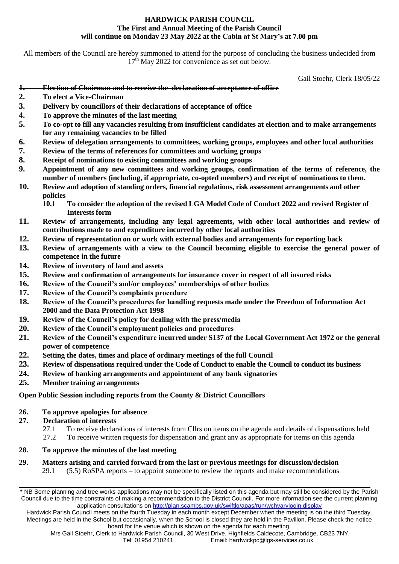### **HARDWICK PARISH COUNCIL The First and Annual Meeting of the Parish Council will continue on Monday 23 May 2022 at the Cabin at St Mary's at 7.00 pm**

All members of the Council are hereby summoned to attend for the purpose of concluding the business undecided from  $17<sup>th</sup>$  May 2022 for convenience as set out below.

Gail Stoehr, Clerk 18/05/22

- **1. Election of Chairman and to receive the declaration of acceptance of office**
- **2. To elect a Vice-Chairman**
- **3. Delivery by councillors of their declarations of acceptance of office**
- **4. To approve the minutes of the last meeting**
- **5. To co-opt to fill any vacancies resulting from insufficient candidates at election and to make arrangements for any remaining vacancies to be filled**
- **6. Review of delegation arrangements to committees, working groups, employees and other local authorities**
- **7. Review of the terms of references for committees and working groups**
- **8. Receipt of nominations to existing committees and working groups**
- **9. Appointment of any new committees and working groups, confirmation of the terms of reference, the number of members (including, if appropriate, co-opted members) and receipt of nominations to them.**
- **10. Review and adoption of standing orders, financial regulations, risk assessment arrangements and other policies**
	- **10.1 To consider the adoption of the revised LGA Model Code of Conduct 2022 and revised Register of Interests form**
- **11. Review of arrangements, including any legal agreements, with other local authorities and review of contributions made to and expenditure incurred by other local authorities**
- **12. Review of representation on or work with external bodies and arrangements for reporting back**
- **13. Review of arrangements with a view to the Council becoming eligible to exercise the general power of competence in the future**
- **14. Review of inventory of land and assets**
- **15. Review and confirmation of arrangements for insurance cover in respect of all insured risks**
- **16. Review of the Council's and/or employees' memberships of other bodies**
- **17. Review of the Council's complaints procedure**
- **18. Review of the Council's procedures for handling requests made under the Freedom of Information Act 2000 and the Data Protection Act 1998**
- **19. Review of the Council's policy for dealing with the press/media**
- **20. Review of the Council's employment policies and procedures**
- **21. Review of the Council's expenditure incurred under S137 of the Local Government Act 1972 or the general power of competence**
- **22. Setting the dates, times and place of ordinary meetings of the full Council**
- **23. Review of dispensations required under the Code of Conduct to enable the Council to conduct its business**
- **24. Review of banking arrangements and appointment of any bank signatories**
- **25. Member training arrangements**

### **Open Public Session including reports from the County & District Councillors**

#### **26. To approve apologies for absence**

- **27. Declaration of interests**
	- 27.1 To receive declarations of interests from Cllrs on items on the agenda and details of dispensations held
	- 27.2 To receive written requests for dispensation and grant any as appropriate for items on this agenda

### **28. To approve the minutes of the last meeting**

#### **29. Matters arising and carried forward from the last or previous meetings for discussion/decision** 29.1 (5.5) RoSPA reports – to appoint someone to review the reports and make recommendations

\* NB Some planning and tree works applications may not be specifically listed on this agenda but may still be considered by the Parish Council due to the time constraints of making a recommendation to the District Council. For more information see the current planning application consultations on http://plan.scambs.gov.uk/swiftlg/apas/run/wchvarylogin.display

Hardwick Parish Council meets on the fourth Tuesday in each month except December when the meeting is on the third Tuesday. Meetings are held in the School but occasionally, when the School is closed they are held in the Pavilion. Please check the notice board for the venue which is shown on the agenda for each meeting.